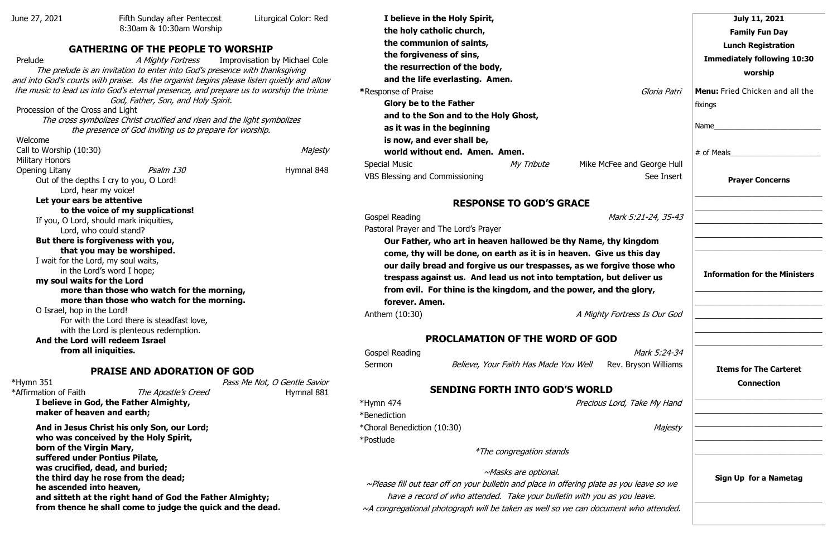| June 27, 2021                     | Fifth Sunday after Pentecost                                                              | Liturgical Color: Red                |
|-----------------------------------|-------------------------------------------------------------------------------------------|--------------------------------------|
|                                   | 8:30am & 10:30am Worship                                                                  |                                      |
|                                   |                                                                                           |                                      |
|                                   | <b>GATHERING OF THE PEOPLE TO WORSHIP</b>                                                 |                                      |
| Prelude                           | A Mighty Fortress                                                                         | <b>Improvisation by Michael Cole</b> |
|                                   | The prelude is an invitation to enter into God's presence with thanksgiving               |                                      |
|                                   | and into God's courts with praise. As the organist begins please listen quietly and allow |                                      |
|                                   | the music to lead us into God's eternal presence, and prepare us to worship the triune    |                                      |
|                                   | God, Father, Son, and Holy Spirit.                                                        |                                      |
| Procession of the Cross and Light |                                                                                           |                                      |
|                                   | The cross symbolizes Christ crucified and risen and the light symbolizes                  |                                      |
|                                   | the presence of God inviting us to prepare for worship.                                   |                                      |
| Welcome                           |                                                                                           |                                      |
| Call to Worship (10:30)           |                                                                                           | Majesty                              |
| <b>Military Honors</b>            | Psalm 130                                                                                 |                                      |
| Opening Litany                    |                                                                                           | Hymnal 848                           |
|                                   | Out of the depths I cry to you, O Lord!<br>Lord, hear my voice!                           |                                      |
| Let your ears be attentive        |                                                                                           |                                      |
|                                   | to the voice of my supplications!                                                         |                                      |
|                                   | If you, O Lord, should mark iniquities,                                                   |                                      |
|                                   | Lord, who could stand?                                                                    |                                      |
|                                   | But there is forgiveness with you,                                                        |                                      |
|                                   | that you may be worshiped.                                                                |                                      |
|                                   | I wait for the Lord, my soul waits,                                                       |                                      |
|                                   | in the Lord's word I hope;                                                                |                                      |
| my soul waits for the Lord        |                                                                                           |                                      |
|                                   | more than those who watch for the morning,                                                |                                      |
|                                   | more than those who watch for the morning.                                                |                                      |
| O Israel, hop in the Lord!        |                                                                                           |                                      |
|                                   | For with the Lord there is steadfast love,                                                |                                      |
|                                   | with the Lord is plenteous redemption.                                                    |                                      |

\*Hymn 351 Pass Me Not, O Gentle Savior \*Affirmation of Faith The Apostle's Creed Hymnal 881

| I believe in the Holy Spirit,         |            |                            |
|---------------------------------------|------------|----------------------------|
| the holy catholic church,             |            |                            |
| the communion of saints,              |            |                            |
| the forgiveness of sins,              |            |                            |
| the resurrection of the body,         |            |                            |
| and the life everlasting. Amen.       |            |                            |
| *Response of Praise                   |            | Gloria Patri               |
| <b>Glory be to the Father</b>         |            |                            |
| and to the Son and to the Holy Ghost, |            |                            |
| as it was in the beginning            |            |                            |
| is now, and ever shall be,            |            |                            |
| world without end. Amen. Amen.        |            |                            |
| <b>Special Music</b>                  | My Tribute | Mike McFee and George Hull |
| <b>VBS Blessing and Commissioning</b> |            | See Insert                 |

**And the Lord will redeem Israel from all iniquities.**

### **PRAISE AND ADORATION OF GOD**

**Our Father, who art in heaven hallowed be thy Name, thy come, thy will be done, on earth as it is in heaven. Give our daily bread and forgive us our trespasses, as we forget** trespass against us. And lead us not into temptation, but from evil. For thine is the kingdom, and the power, and **forever. Amen.** 

Anthem (10:30) A Mighty Forthcome A Mighty Forthcome A Mighty Forthcome A Mighty Forthcome A Mighty Forthcome A

**I believe in God, the Father Almighty,** 

**maker of heaven and earth; And in Jesus Christ his only Son, our Lord; who was conceived by the Holy Spirit, born of the Virgin Mary, suffered under Pontius Pilate, was crucified, dead, and buried; the third day he rose from the dead; he ascended into heaven, and sitteth at the right hand of God the Father Almighty; from thence he shall come to judge the quick and the dead.**

## **RESPONSE TO GOD'S GRACE**

| Gospel Reading | Mark 5:21-24, 35-43 |  |
|----------------|---------------------|--|
|                |                     |  |

Pastoral Prayer and The Lord's Prayer

# **PROCLAMATION OF THE WORD OF GOD**

| Gospel Reading |                                       | Mark 5:24-34         |
|----------------|---------------------------------------|----------------------|
| Sermon         | Believe, Your Faith Has Made You Well | Rev. Bryson Williams |

# **SENDING FORTH INTO GOD'S WORLD**

\*Hymn 474 **Precious** Lord, Take My Handle My Handle My Handle My Handle My Handle My Handle My Handle My Handle My Handle My Handle My Handle My Handle My Handle My Handle My Handle My Handle My Handle My Handle My Handle

\*Benediction \*Choral Benediction (10:30) \*Postlude

\*The congregation stands

~Masks are optional.

 $~\sim$ Please fill out tear off on your bulletin and place in offering plate as have a record of who attended. Take your bulletin with you as  $~\sim$ A congregational photograph will be taken as well so we can docume

|                                                                         | July 11, 2021                                      |
|-------------------------------------------------------------------------|----------------------------------------------------|
|                                                                         | <b>Family Fun Day</b>                              |
|                                                                         | <b>Lunch Registration</b>                          |
|                                                                         | <b>Immediately following 10:30</b>                 |
|                                                                         | worship                                            |
| Gloria Patri                                                            | Menu: Fried Chicken and all the<br>fixings         |
|                                                                         |                                                    |
|                                                                         | # of Meals                                         |
| e and George Hull<br>See Insert                                         | <b>Prayer Concerns</b>                             |
| ark 5:21-24, 35-43                                                      |                                                    |
| y kingdom<br>us this day<br>ive those who<br>t deliver us<br>the glory, | <b>Information for the Ministers</b>               |
| ortress Is Our God                                                      |                                                    |
|                                                                         |                                                    |
| Mark 5:24-34                                                            |                                                    |
| v. Bryson Williams                                                      | <b>Items for The Carteret</b><br><b>Connection</b> |
| ord, Take My Hand                                                       |                                                    |
| Majesty                                                                 |                                                    |
|                                                                         |                                                    |
| <i>you leave so we</i><br>you leave.                                    | Sign Up for a Nametag                              |
| ent who attended.                                                       |                                                    |